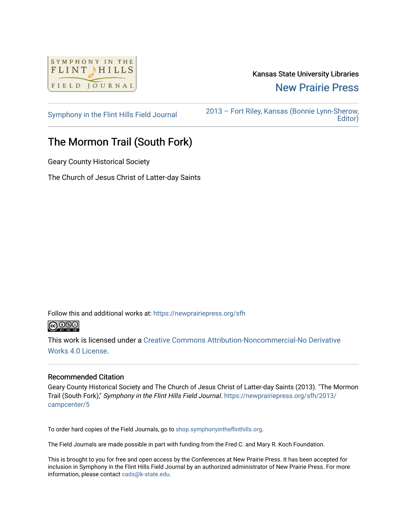

## Kansas State University Libraries [New Prairie Press](https://newprairiepress.org/)

[Symphony in the Flint Hills Field Journal](https://newprairiepress.org/sfh) [2013 – Fort Riley, Kansas \(Bonnie Lynn-Sherow,](https://newprairiepress.org/sfh/2013)  [Editor\)](https://newprairiepress.org/sfh/2013) 

## The Mormon Trail (South Fork)

Geary County Historical Society

The Church of Jesus Christ of Latter-day Saints

Follow this and additional works at: [https://newprairiepress.org/sfh](https://newprairiepress.org/sfh?utm_source=newprairiepress.org%2Fsfh%2F2013%2Fcampcenter%2F5&utm_medium=PDF&utm_campaign=PDFCoverPages)



This work is licensed under a [Creative Commons Attribution-Noncommercial-No Derivative](http://creativecommons.org/licenses/by-nc-nd/4.0/)  [Works 4.0 License](http://creativecommons.org/licenses/by-nc-nd/4.0/).

## Recommended Citation

Geary County Historical Society and The Church of Jesus Christ of Latter-day Saints (2013). "The Mormon Trail (South Fork)," Symphony in the Flint Hills Field Journal. [https://newprairiepress.org/sfh/2013/](https://newprairiepress.org/sfh/2013/campcenter/5) [campcenter/5](https://newprairiepress.org/sfh/2013/campcenter/5) 

To order hard copies of the Field Journals, go to [shop.symphonyintheflinthills.org.](http://shop.symphonyintheflinthills.org/)

The Field Journals are made possible in part with funding from the Fred C. and Mary R. Koch Foundation.

This is brought to you for free and open access by the Conferences at New Prairie Press. It has been accepted for inclusion in Symphony in the Flint Hills Field Journal by an authorized administrator of New Prairie Press. For more information, please contact [cads@k-state.edu](mailto:cads@k-state.edu).